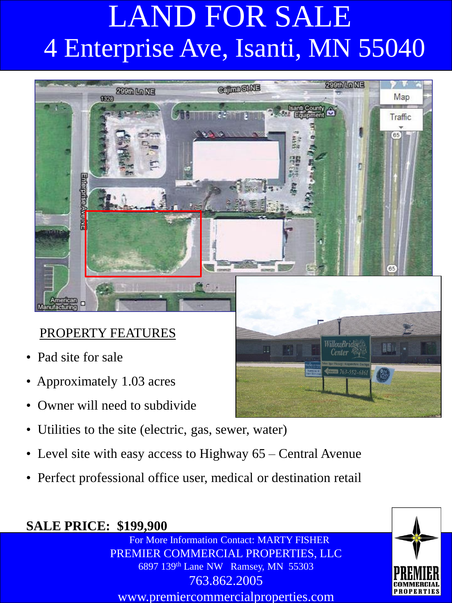

#### PROPERTY FEATURES

- Pad site for sale
- Approximately 1.03 acres
- Owner will need to subdivide
- Utilities to the site (electric, gas, sewer, water)
- Level site with easy access to Highway 65 Central Avenue
- Perfect professional office user, medical or destination retail

#### **SALE PRICE: \$199,900**

For More Information Contact: MARTY FISHER PREMIER COMMERCIAL PROPERTIES, LLC 6897 139th Lane NW Ramsey, MN 55303 763.862.2005 www.premiercommercialproperties.com



VillowBridge Center  $\stackrel{\text{\normalsize{A}}}{\scriptscriptstyle{A}}$ 

1763-552-616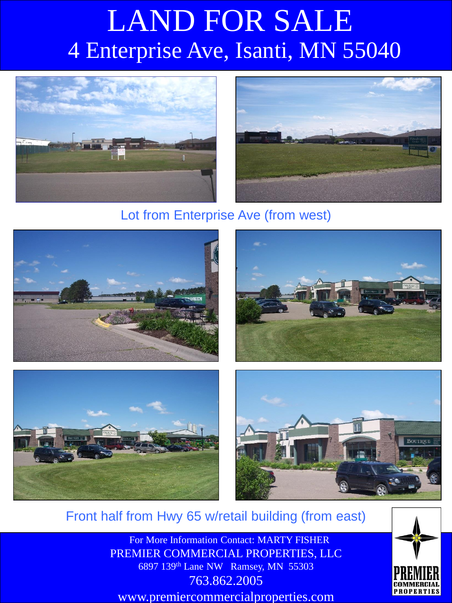



#### Lot from Enterprise Ave (from west)









Front half from Hwy 65 w/retail building (from east)

For More Information Contact: MARTY FISHER PREMIER COMMERCIAL PROPERTIES, LLC 6897 139<sup>th</sup> Lane NW Ramsey, MN 55303 763.862.2005 www.premiercommercialproperties.com

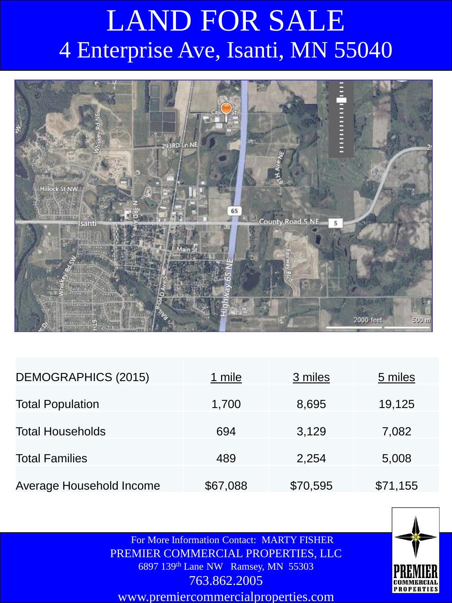

| <b>DEMOGRAPHICS (2015)</b> | 1 mile   | 3 miles  | 5 miles  |
|----------------------------|----------|----------|----------|
| <b>Total Population</b>    | 1,700    | 8,695    | 19,125   |
| <b>Total Households</b>    | 694      | 3,129    | 7,082    |
| <b>Total Families</b>      | 489      | 2,254    | 5,008    |
| Average Household Income   | \$67,088 | \$70,595 | \$71,155 |

For More Information Contact: MARTY FISHER PREMIER COMMERCIAL PROPERTIES, LLC 6897 139th Lane NW Ramsey, MN 55303 763.862.2005

www.premiercommercialproperties.com